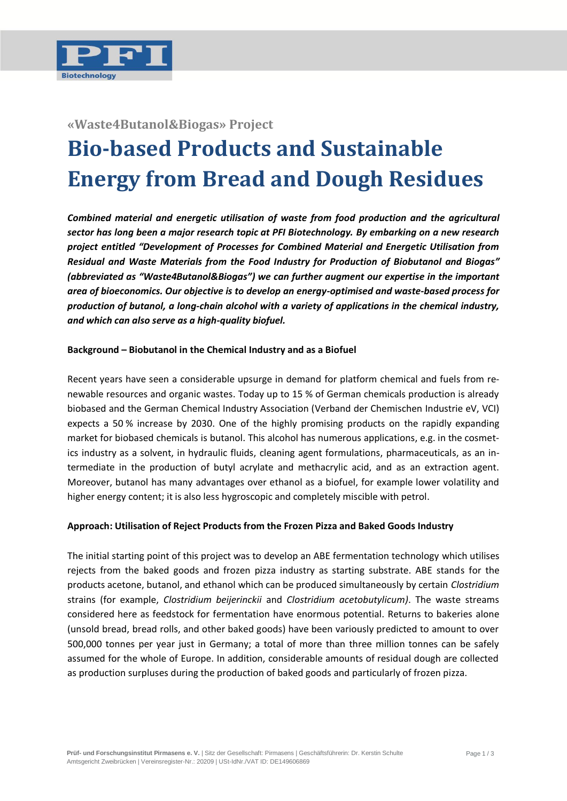

## **«Waste4Butanol&Biogas» Project**

# **Bio-based Products and Sustainable Energy from Bread and Dough Residues**

*Combined material and energetic utilisation of waste from food production and the agricultural sector has long been a major research topic at PFI Biotechnology. By embarking on a new research project entitled "Development of Processes for Combined Material and Energetic Utilisation from Residual and Waste Materials from the Food Industry for Production of Biobutanol and Biogas" (abbreviated as "Waste4Butanol&Biogas") we can further augment our expertise in the important area of bioeconomics. Our objective is to develop an energy-optimised and waste-based process for production of butanol, a long-chain alcohol with a variety of applications in the chemical industry, and which can also serve as a high-quality biofuel.* 

#### **Background – Biobutanol in the Chemical Industry and as a Biofuel**

Recent years have seen a considerable upsurge in demand for platform chemical and fuels from renewable resources and organic wastes. Today up to 15 % of German chemicals production is already biobased and the German Chemical Industry Association (Verband der Chemischen Industrie eV, VCI) expects a 50 % increase by 2030. One of the highly promising products on the rapidly expanding market for biobased chemicals is butanol. This alcohol has numerous applications, e.g. in the cosmetics industry as a solvent, in hydraulic fluids, cleaning agent formulations, pharmaceuticals, as an intermediate in the production of butyl acrylate and methacrylic acid, and as an extraction agent. Moreover, butanol has many advantages over ethanol as a biofuel, for example lower volatility and higher energy content; it is also less hygroscopic and completely miscible with petrol.

#### **Approach: Utilisation of Reject Products from the Frozen Pizza and Baked Goods Industry**

The initial starting point of this project was to develop an ABE fermentation technology which utilises rejects from the baked goods and frozen pizza industry as starting substrate. ABE stands for the products acetone, butanol, and ethanol which can be produced simultaneously by certain *Clostridium*  strains (for example, *Clostridium beijerinckii* and *Clostridium acetobutylicum)*. The waste streams considered here as feedstock for fermentation have enormous potential. Returns to bakeries alone (unsold bread, bread rolls, and other baked goods) have been variously predicted to amount to over 500,000 tonnes per year just in Germany; a total of more than three million tonnes can be safely assumed for the whole of Europe. In addition, considerable amounts of residual dough are collected as production surpluses during the production of baked goods and particularly of frozen pizza.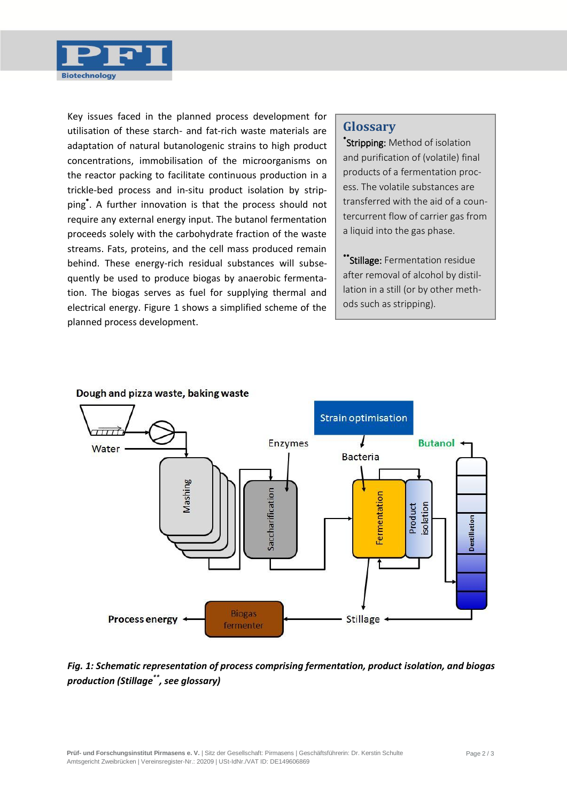

Key issues faced in the planned process development for utilisation of these starch- and fat-rich waste materials are adaptation of natural butanologenic strains to high product concentrations, immobilisation of the microorganisms on the reactor packing to facilitate continuous production in a trickle-bed process and in-situ product isolation by stripping\* . A further innovation is that the process should not require any external energy input. The butanol fermentation proceeds solely with the carbohydrate fraction of the waste streams. Fats, proteins, and the cell mass produced remain behind. These energy-rich residual substances will subsequently be used to produce biogas by anaerobic fermentation. The biogas serves as fuel for supplying thermal and electrical energy. Figure 1 shows a simplified scheme of the planned process development.

## **Glossary**

\* Stripping: Method of isolation and purification of (volatile) final products of a fermentation process. The volatile substances are transferred with the aid of a countercurrent flow of carrier gas from a liquid into the gas phase.

\*\*Stillage: Fermentation residue after removal of alcohol by distillation in a still (or by other methods such as stripping).



*Fig. 1: Schematic representation of process comprising fermentation, product isolation, and biogas production (Stillage\*\*, see glossary)*